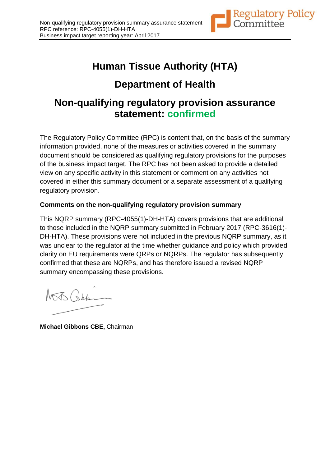

# **Human Tissue Authority (HTA)**

## **Department of Health**

### **Non-qualifying regulatory provision assurance statement: confirmed**

The Regulatory Policy Committee (RPC) is content that, on the basis of the summary information provided, none of the measures or activities covered in the summary document should be considered as qualifying regulatory provisions for the purposes of the business impact target. The RPC has not been asked to provide a detailed view on any specific activity in this statement or comment on any activities not covered in either this summary document or a separate assessment of a qualifying regulatory provision.

### **Comments on the non-qualifying regulatory provision summary**

This NQRP summary (RPC-4055(1)-DH-HTA) covers provisions that are additional to those included in the NQRP summary submitted in February 2017 (RPC-3616(1)- DH-HTA). These provisions were not included in the previous NQRP summary, as it was unclear to the regulator at the time whether guidance and policy which provided clarity on EU requirements were QRPs or NQRPs. The regulator has subsequently confirmed that these are NQRPs, and has therefore issued a revised NQRP summary encompassing these provisions.

MJS Cobben

**Michael Gibbons CBE,** Chairman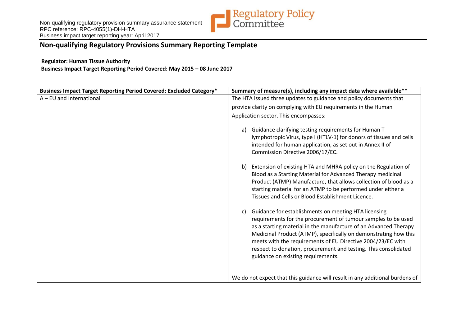

### **Non-qualifying Regulatory Provisions Summary Reporting Template**

#### **Regulator: Human Tissue Authority**

**Business Impact Target Reporting Period Covered: May 2015 – 08 June 2017**

| Business Impact Target Reporting Period Covered: Excluded Category* | Summary of measure(s), including any impact data where available**                                                                                                                                                                                                                                                                                                                                                                          |
|---------------------------------------------------------------------|---------------------------------------------------------------------------------------------------------------------------------------------------------------------------------------------------------------------------------------------------------------------------------------------------------------------------------------------------------------------------------------------------------------------------------------------|
| A - EU and International                                            | The HTA issued three updates to guidance and policy documents that                                                                                                                                                                                                                                                                                                                                                                          |
|                                                                     | provide clarity on complying with EU requirements in the Human                                                                                                                                                                                                                                                                                                                                                                              |
|                                                                     | Application sector. This encompasses:                                                                                                                                                                                                                                                                                                                                                                                                       |
|                                                                     | Guidance clarifying testing requirements for Human T-<br>a)<br>lymphotropic Virus, type I (HTLV-1) for donors of tissues and cells<br>intended for human application, as set out in Annex II of<br>Commission Directive 2006/17/EC.                                                                                                                                                                                                         |
|                                                                     | Extension of existing HTA and MHRA policy on the Regulation of<br>b)<br>Blood as a Starting Material for Advanced Therapy medicinal<br>Product (ATMP) Manufacture, that allows collection of blood as a<br>starting material for an ATMP to be performed under either a<br>Tissues and Cells or Blood Establishment Licence.                                                                                                                |
|                                                                     | Guidance for establishments on meeting HTA licensing<br>C)<br>requirements for the procurement of tumour samples to be used<br>as a starting material in the manufacture of an Advanced Therapy<br>Medicinal Product (ATMP), specifically on demonstrating how this<br>meets with the requirements of EU Directive 2004/23/EC with<br>respect to donation, procurement and testing. This consolidated<br>guidance on existing requirements. |
|                                                                     | We do not expect that this guidance will result in any additional burdens of                                                                                                                                                                                                                                                                                                                                                                |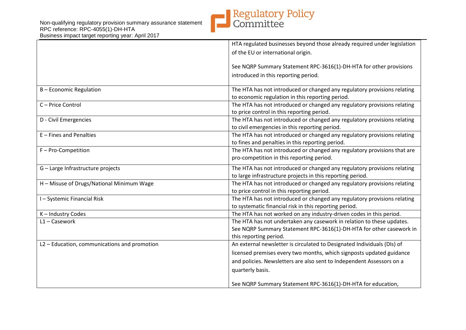

|                                              | HTA regulated businesses beyond those already required under legislation                                                                                               |
|----------------------------------------------|------------------------------------------------------------------------------------------------------------------------------------------------------------------------|
|                                              | of the EU or international origin.                                                                                                                                     |
|                                              | See NQRP Summary Statement RPC-3616(1)-DH-HTA for other provisions                                                                                                     |
|                                              | introduced in this reporting period.                                                                                                                                   |
| B - Economic Regulation                      | The HTA has not introduced or changed any regulatory provisions relating<br>to economic regulation in this reporting period.                                           |
| C-Price Control                              | The HTA has not introduced or changed any regulatory provisions relating<br>to price control in this reporting period.                                                 |
| D - Civil Emergencies                        | The HTA has not introduced or changed any regulatory provisions relating<br>to civil emergencies in this reporting period.                                             |
| E - Fines and Penalties                      | The HTA has not introduced or changed any regulatory provisions relating<br>to fines and penalties in this reporting period.                                           |
| F - Pro-Competition                          | The HTA has not introduced or changed any regulatory provisions that are<br>pro-competition in this reporting period.                                                  |
| G - Large Infrastructure projects            | The HTA has not introduced or changed any regulatory provisions relating<br>to large infrastructure projects in this reporting period.                                 |
| H - Misuse of Drugs/National Minimum Wage    | The HTA has not introduced or changed any regulatory provisions relating<br>to price control in this reporting period.                                                 |
| I-Systemic Financial Risk                    | The HTA has not introduced or changed any regulatory provisions relating<br>to systematic financial risk in this reporting period.                                     |
| K-Industry Codes                             | The HTA has not worked on any industry-driven codes in this period.                                                                                                    |
| $L1 -$ Casework                              | The HTA has not undertaken any casework in relation to these updates.<br>See NQRP Summary Statement RPC-3616(1)-DH-HTA for other casework in<br>this reporting period. |
| L2 - Education, communications and promotion | An external newsletter is circulated to Designated Individuals (DIs) of                                                                                                |
|                                              | licensed premises every two months, which signposts updated guidance                                                                                                   |
|                                              | and policies. Newsletters are also sent to Independent Assessors on a                                                                                                  |
|                                              | quarterly basis.                                                                                                                                                       |
|                                              | See NQRP Summary Statement RPC-3616(1)-DH-HTA for education,                                                                                                           |